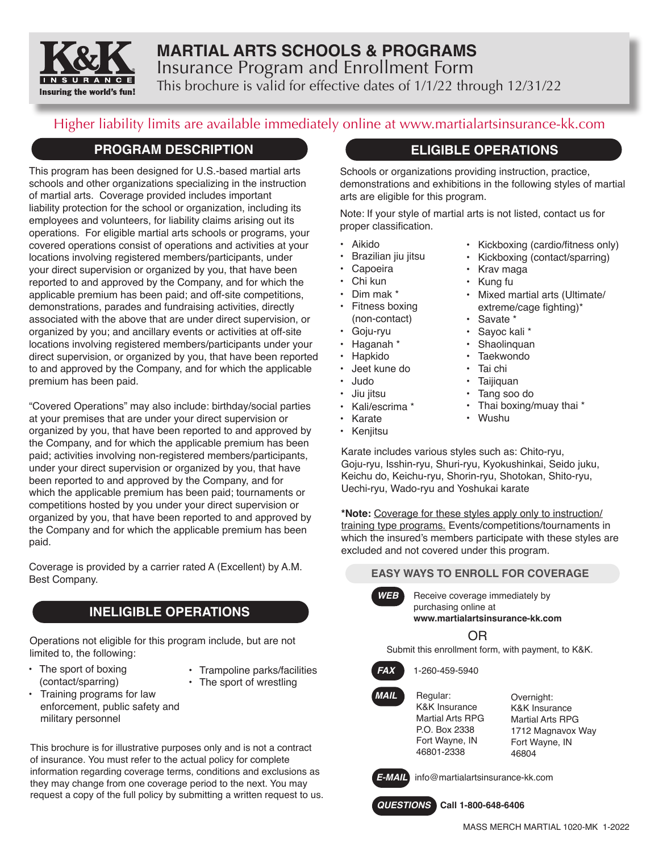

# **MARTIAL ARTS SCHOOLS & PROGRAMS** Insurance Program and Enrollment Form This brochure is valid for effective dates of 1/1/22 through 12/31/22

# Higher liability limits are available immediately online at www.martialartsinsurance-kk.com

### **PROGRAM DESCRIPTION**

This program has been designed for U.S.-based martial arts schools and other organizations specializing in the instruction of martial arts. Coverage provided includes important liability protection for the school or organization, including its employees and volunteers, for liability claims arising out its operations. For eligible martial arts schools or programs, your covered operations consist of operations and activities at your locations involving registered members/participants, under your direct supervision or organized by you, that have been reported to and approved by the Company, and for which the applicable premium has been paid; and off-site competitions, demonstrations, parades and fundraising activities, directly associated with the above that are under direct supervision, or organized by you; and ancillary events or activities at off-site locations involving registered members/participants under your direct supervision, or organized by you, that have been reported to and approved by the Company, and for which the applicable premium has been paid.

"Covered Operations" may also include: birthday/social parties at your premises that are under your direct supervision or organized by you, that have been reported to and approved by the Company, and for which the applicable premium has been paid; activities involving non-registered members/participants, under your direct supervision or organized by you, that have been reported to and approved by the Company, and for which the applicable premium has been paid; tournaments or competitions hosted by you under your direct supervision or organized by you, that have been reported to and approved by the Company and for which the applicable premium has been paid.

Coverage is provided by a carrier rated A (Excellent) by A.M. Best Company.

# **INELIGIBLE OPERATIONS**

Operations not eligible for this program include, but are not limited to, the following:

- The sport of boxing (contact/sparring)
- Trampoline parks/facilities • The sport of wrestling
- Training programs for law enforcement, public safety and military personnel

This brochure is for illustrative purposes only and is not a contract of insurance. You must refer to the actual policy for complete information regarding coverage terms, conditions and exclusions as they may change from one coverage period to the next. You may request a copy of the full policy by submitting a written request to us.

# **ELIGIBLE OPERATIONS**

Schools or organizations providing instruction, practice, demonstrations and exhibitions in the following styles of martial arts are eligible for this program.

Note: If your style of martial arts is not listed, contact us for proper classification.

- Aikido
- Brazilian jiu jitsu
- **Capoeira**
- Chi kun
- Dim mak \*
- Fitness boxing (non-contact)
- Goju-ryu
- Haganah \*
- Hapkido
- Jeet kune do
- Judo
- Jiu jitsu
- Kali/escrima \*
- Karate
- Kenjitsu
- Karate includes various styles such as: Chito-ryu, Goju-ryu, Isshin-ryu, Shuri-ryu, Kyokushinkai, Seido juku, Keichu do, Keichu-ryu, Shorin-ryu, Shotokan, Shito-ryu, Uechi-ryu, Wado-ryu and Yoshukai karate

**\*Note:** Coverage for these styles apply only to instruction/ training type programs. Events/competitions/tournaments in which the insured's members participate with these styles are excluded and not covered under this program.

### **EASY WAYS TO ENROLL FOR COVERAGE**

**WEB** Receive coverage immediately by purchasing online at **www.martialartsinsurance-kk.com**

OR

Submit this enrollment form, with payment, to K&K.



*FAX* 1-260-459-5940



K&K Insurance Martial Arts RPG P.O. Box 2338 Fort Wayne, IN 46801-2338

Overnight: K&K Insurance Martial Arts RPG 1712 Magnavox Way Fort Wayne, IN 46804



*E-MAIL* info@martialartsinsurance-kk.com

*QUESTIONS* **Call 1-800-648-6406**

- Kickboxing (cardio/fitness only) • Kickboxing (contact/sparring)
- Krav maga
- Kung fu
- Mixed martial arts (Ultimate/ extreme/cage fighting)\*
- Savate \*
- Sayoc kali \*
- Shaolinquan
- Taekwondo
- Tai chi
- **Tailiquan**
- Tang soo do
- Thai boxing/muay thai \*
- Wushu
-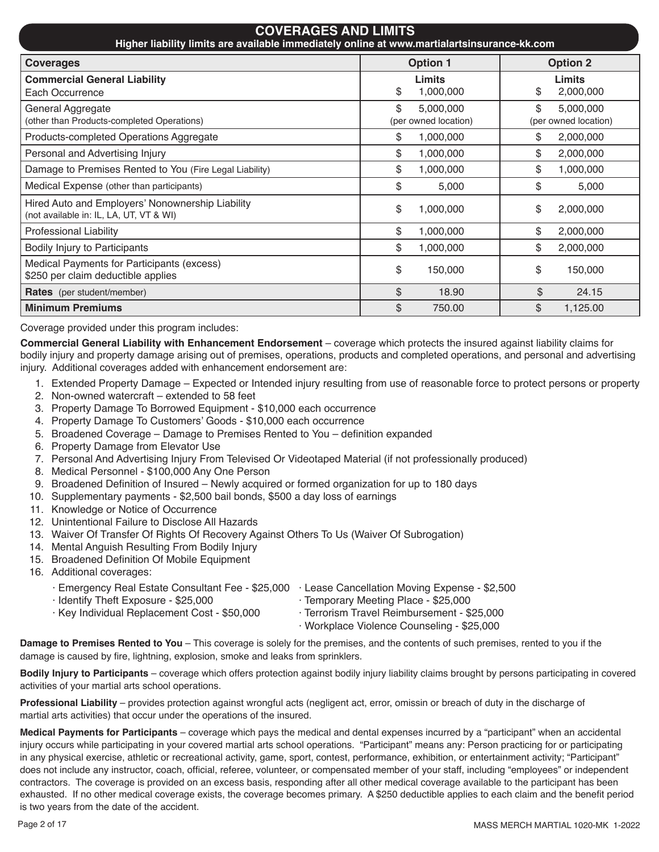| <b>COVERAGES AND LIMITS</b><br>Higher liability limits are available immediately online at www.martialartsinsurance-kk.com |                                         |                                         |  |  |  |
|----------------------------------------------------------------------------------------------------------------------------|-----------------------------------------|-----------------------------------------|--|--|--|
| <b>Option 1</b><br><b>Option 2</b><br><b>Coverages</b>                                                                     |                                         |                                         |  |  |  |
| <b>Commercial General Liability</b><br>Each Occurrence                                                                     | <b>Limits</b><br>\$<br>1,000,000        | Limits<br>\$<br>2,000,000               |  |  |  |
| General Aggregate<br>(other than Products-completed Operations)                                                            | \$<br>5,000,000<br>(per owned location) | \$<br>5,000,000<br>(per owned location) |  |  |  |
| Products-completed Operations Aggregate                                                                                    | \$<br>1,000,000                         | 2,000,000<br>\$                         |  |  |  |
| Personal and Advertising Injury                                                                                            | \$<br>1,000,000                         | \$<br>2,000,000                         |  |  |  |
| Damage to Premises Rented to You (Fire Legal Liability)                                                                    | \$<br>1,000,000                         | \$<br>1,000,000                         |  |  |  |
| Medical Expense (other than participants)                                                                                  | \$<br>5,000                             | \$<br>5,000                             |  |  |  |
| Hired Auto and Employers' Nonownership Liability<br>(not available in: IL, LA, UT, VT & WI)                                | \$<br>1,000,000                         | \$<br>2,000,000                         |  |  |  |
| <b>Professional Liability</b>                                                                                              | \$<br>1,000,000                         | \$<br>2,000,000                         |  |  |  |
| Bodily Injury to Participants                                                                                              | \$<br>1,000,000                         | \$<br>2,000,000                         |  |  |  |
| Medical Payments for Participants (excess)<br>\$250 per claim deductible applies                                           | \$<br>150,000                           | \$<br>150,000                           |  |  |  |
| <b>Rates</b> (per student/member)                                                                                          | \$<br>18.90                             | \$<br>24.15                             |  |  |  |
| <b>Minimum Premiums</b>                                                                                                    | \$<br>750.00                            | \$<br>1,125.00                          |  |  |  |

Coverage provided under this program includes:

**Commercial General Liability with Enhancement Endorsement** – coverage which protects the insured against liability claims for bodily injury and property damage arising out of premises, operations, products and completed operations, and personal and advertising injury. Additional coverages added with enhancement endorsement are:

- 1. Extended Property Damage Expected or Intended injury resulting from use of reasonable force to protect persons or property
- 2. Non-owned watercraft extended to 58 feet
- 3. Property Damage To Borrowed Equipment \$10,000 each occurrence
- 4. Property Damage To Customers' Goods \$10,000 each occurrence
- 5. Broadened Coverage Damage to Premises Rented to You definition expanded
- 6. Property Damage from Elevator Use
- 7. Personal And Advertising Injury From Televised Or Videotaped Material (if not professionally produced)
- 8. Medical Personnel \$100,000 Any One Person
- 9. Broadened Definition of Insured Newly acquired or formed organization for up to 180 days
- 10. Supplementary payments \$2,500 bail bonds, \$500 a day loss of earnings
- 11. Knowledge or Notice of Occurrence
- 12. Unintentional Failure to Disclose All Hazards
- 13. Waiver Of Transfer Of Rights Of Recovery Against Others To Us (Waiver Of Subrogation)
- 14. Mental Anguish Resulting From Bodily Injury
- 15. Broadened Definition Of Mobile Equipment
- 16. Additional coverages:

| Emergency Real Estate Consultant Fee - \$25,000 | · Lease Cancellation Moving Expense - \$2,500 |
|-------------------------------------------------|-----------------------------------------------|
| · Identify Theft Exposure - \$25,000            | · Temporary Meeting Place - \$25,000          |
| ⋅ Key Individual Replacement Cost - \$50,000    | ⋅ Terrorism Travel Reimbursement - \$25.000   |
|                                                 | · Workplace Violence Counseling - \$25,000    |

**Damage to Premises Rented to You** – This coverage is solely for the premises, and the contents of such premises, rented to you if the damage is caused by fire, lightning, explosion, smoke and leaks from sprinklers.

**Bodily Injury to Participants** – coverage which offers protection against bodily injury liability claims brought by persons participating in covered activities of your martial arts school operations.

**Professional Liability** – provides protection against wrongful acts (negligent act, error, omissin or breach of duty in the discharge of martial arts activities) that occur under the operations of the insured.

**Medical Payments for Participants** – coverage which pays the medical and dental expenses incurred by a "participant" when an accidental injury occurs while participating in your covered martial arts school operations. "Participant" means any: Person practicing for or participating in any physical exercise, athletic or recreational activity, game, sport, contest, performance, exhibition, or entertainment activity; "Participant" does not include any instructor, coach, official, referee, volunteer, or compensated member of your staff, including "employees" or independent contractors. The coverage is provided on an excess basis, responding after all other medical coverage available to the participant has been exhausted. If no other medical coverage exists, the coverage becomes primary. A \$250 deductible applies to each claim and the benefit period is two years from the date of the accident.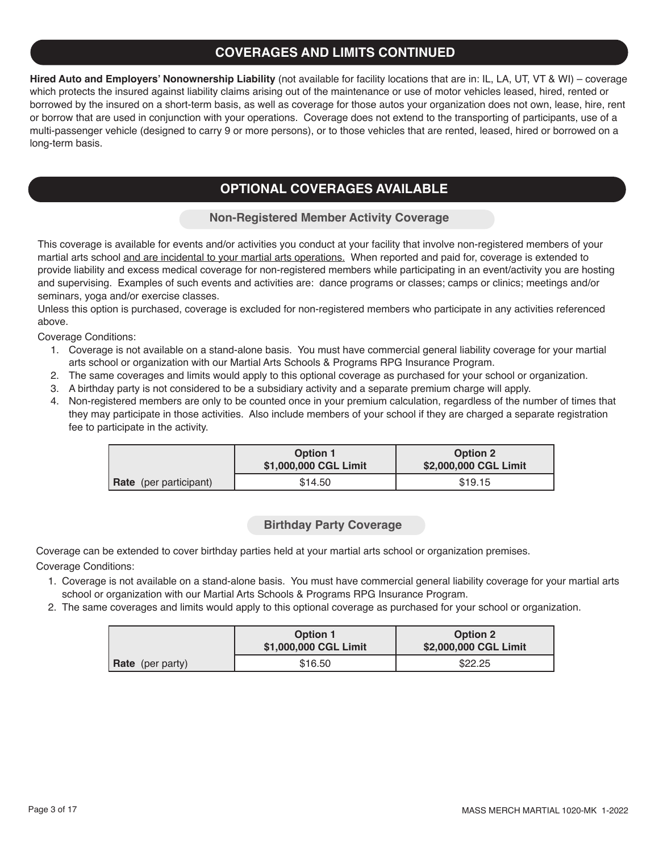# **COVERAGES AND LIMITS CONTINUED**

**Hired Auto and Employers' Nonownership Liability** (not available for facility locations that are in: IL, LA, UT, VT & WI) – coverage which protects the insured against liability claims arising out of the maintenance or use of motor vehicles leased, hired, rented or borrowed by the insured on a short-term basis, as well as coverage for those autos your organization does not own, lease, hire, rent or borrow that are used in conjunction with your operations. Coverage does not extend to the transporting of participants, use of a multi-passenger vehicle (designed to carry 9 or more persons), or to those vehicles that are rented, leased, hired or borrowed on a long-term basis.

# **OPTIONAL COVERAGES AVAILABLE**

### **Non-Registered Member Activity Coverage**

This coverage is available for events and/or activities you conduct at your facility that involve non-registered members of your martial arts school and are incidental to your martial arts operations. When reported and paid for, coverage is extended to provide liability and excess medical coverage for non-registered members while participating in an event/activity you are hosting and supervising. Examples of such events and activities are: dance programs or classes; camps or clinics; meetings and/or seminars, yoga and/or exercise classes.

Unless this option is purchased, coverage is excluded for non-registered members who participate in any activities referenced above.

Coverage Conditions:

- 1. Coverage is not available on a stand-alone basis. You must have commercial general liability coverage for your martial arts school or organization with our Martial Arts Schools & Programs RPG Insurance Program.
- 2. The same coverages and limits would apply to this optional coverage as purchased for your school or organization.
- 3. A birthday party is not considered to be a subsidiary activity and a separate premium charge will apply.
- 4. Non-registered members are only to be counted once in your premium calculation, regardless of the number of times that they may participate in those activities. Also include members of your school if they are charged a separate registration fee to participate in the activity.

|                               | <b>Option 1</b><br>\$1,000,000 CGL Limit | <b>Option 2</b><br>\$2,000,000 CGL Limit |
|-------------------------------|------------------------------------------|------------------------------------------|
| <b>Rate</b> (per participant) | \$14.50                                  | \$19.15                                  |

### **Birthday Party Coverage**

Coverage can be extended to cover birthday parties held at your martial arts school or organization premises. Coverage Conditions:

- 1. Coverage is not available on a stand-alone basis. You must have commercial general liability coverage for your martial arts school or organization with our Martial Arts Schools & Programs RPG Insurance Program.
- 2. The same coverages and limits would apply to this optional coverage as purchased for your school or organization.

|                         | <b>Option 1</b><br>\$1,000,000 CGL Limit | <b>Option 2</b><br>\$2,000,000 CGL Limit |
|-------------------------|------------------------------------------|------------------------------------------|
| <b>Rate</b> (per party) | \$16.50                                  | \$22.25                                  |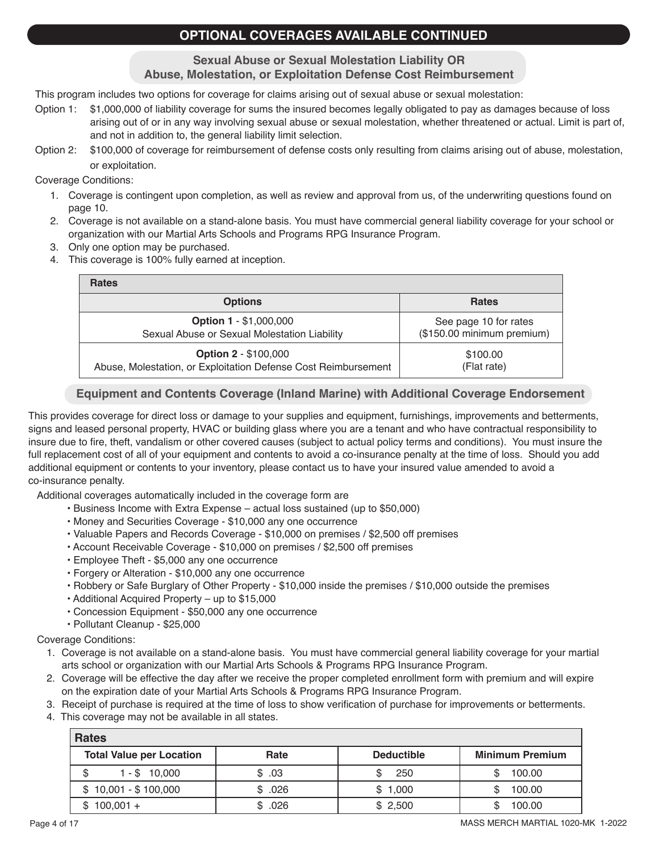# **OPTIONAL COVERAGES AVAILABLE CONTINUED**

**Sexual Abuse or Sexual Molestation Liability OR Abuse, Molestation, or Exploitation Defense Cost Reimbursement**

This program includes two options for coverage for claims arising out of sexual abuse or sexual molestation:

- Option 1: \$1,000,000 of liability coverage for sums the insured becomes legally obligated to pay as damages because of loss arising out of or in any way involving sexual abuse or sexual molestation, whether threatened or actual. Limit is part of, and not in addition to, the general liability limit selection.
- Option 2: \$100,000 of coverage for reimbursement of defense costs only resulting from claims arising out of abuse, molestation, or exploitation.

Coverage Conditions:

- 1. Coverage is contingent upon completion, as well as review and approval from us, of the underwriting questions found on page 10.
- 2. Coverage is not available on a stand-alone basis. You must have commercial general liability coverage for your school or organization with our Martial Arts Schools and Programs RPG Insurance Program.
- 3. Only one option may be purchased.
- 4. This coverage is 100% fully earned at inception.

| <b>Rates</b>                                                   |                            |
|----------------------------------------------------------------|----------------------------|
| <b>Options</b>                                                 | <b>Rates</b>               |
| <b>Option 1 - \$1,000,000</b>                                  | See page 10 for rates      |
| Sexual Abuse or Sexual Molestation Liability                   | (\$150.00 minimum premium) |
| <b>Option 2 - \$100,000</b>                                    | \$100.00                   |
| Abuse, Molestation, or Exploitation Defense Cost Reimbursement | (Flat rate)                |

### **Equipment and Contents Coverage (Inland Marine) with Additional Coverage Endorsement**

This provides coverage for direct loss or damage to your supplies and equipment, furnishings, improvements and betterments, signs and leased personal property, HVAC or building glass where you are a tenant and who have contractual responsibility to insure due to fire, theft, vandalism or other covered causes (subject to actual policy terms and conditions). You must insure the full replacement cost of all of your equipment and contents to avoid a co-insurance penalty at the time of loss. Should you add additional equipment or contents to your inventory, please contact us to have your insured value amended to avoid a co-insurance penalty.

Additional coverages automatically included in the coverage form are

- Business Income with Extra Expense actual loss sustained (up to \$50,000)
- Money and Securities Coverage \$10,000 any one occurrence
- Valuable Papers and Records Coverage \$10,000 on premises / \$2,500 off premises
- Account Receivable Coverage \$10,000 on premises / \$2,500 off premises
- Employee Theft \$5,000 any one occurrence
- Forgery or Alteration \$10,000 any one occurrence
- Robbery or Safe Burglary of Other Property \$10,000 inside the premises / \$10,000 outside the premises
- Additional Acquired Property up to \$15,000
- Concession Equipment \$50,000 any one occurrence
- Pollutant Cleanup \$25,000

Coverage Conditions:

- 1. Coverage is not available on a stand-alone basis. You must have commercial general liability coverage for your martial arts school or organization with our Martial Arts Schools & Programs RPG Insurance Program.
- 2. Coverage will be effective the day after we receive the proper completed enrollment form with premium and will expire on the expiration date of your Martial Arts Schools & Programs RPG Insurance Program.
- 3. Receipt of purchase is required at the time of loss to show verification of purchase for improvements or betterments.
- 4. This coverage may not be available in all states.

| <b>Rates</b>                    |        |                   |                        |  |
|---------------------------------|--------|-------------------|------------------------|--|
| <b>Total Value per Location</b> | Rate   | <b>Deductible</b> | <b>Minimum Premium</b> |  |
| $1 - $10,000$<br>\$             | \$.03  | 250               | 100.00                 |  |
| $$10,001 - $100,000$            | \$.026 | \$1,000           | 100.00                 |  |
| $100,001 +$<br>S                | \$.026 | \$2,500           | 100.00                 |  |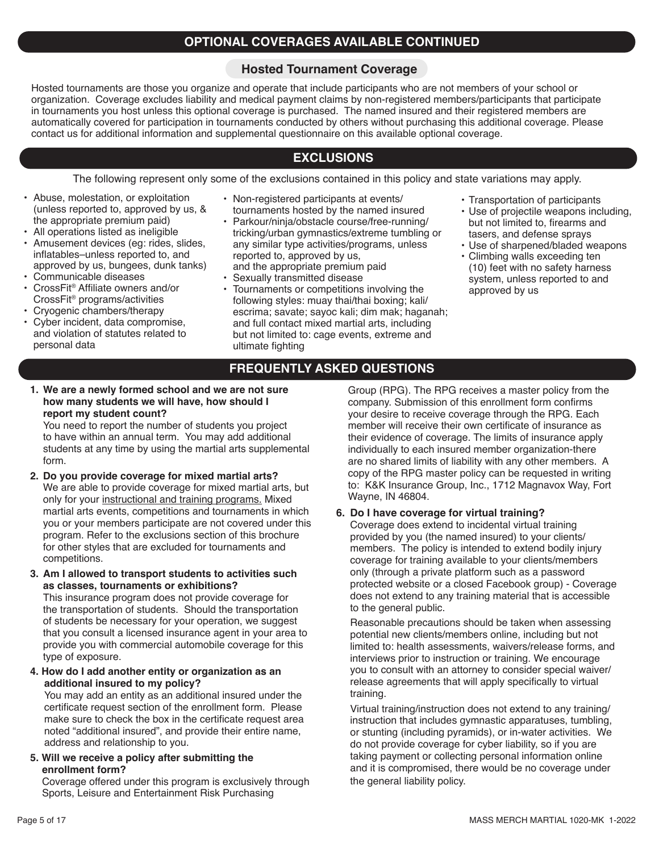### **OPTIONAL COVERAGES AVAILABLE CONTINUED**

### **Hosted Tournament Coverage**

Hosted tournaments are those you organize and operate that include participants who are not members of your school or organization. Coverage excludes liability and medical payment claims by non-registered members/participants that participate in tournaments you host unless this optional coverage is purchased. The named insured and their registered members are automatically covered for participation in tournaments conducted by others without purchasing this additional coverage. Please contact us for additional information and supplemental questionnaire on this available optional coverage.

### **EXCLUSIONS**

The following represent only some of the exclusions contained in this policy and state variations may apply.

- Abuse, molestation, or exploitation (unless reported to, approved by us, & the appropriate premium paid)
- All operations listed as ineligible
- Amusement devices (eg: rides, slides, inflatables–unless reported to, and approved by us, bungees, dunk tanks)
- Communicable diseases
- CrossFit® Affiliate owners and/or CrossFit® programs/activities
- Cryogenic chambers/therapy
- Cyber incident, data compromise, and violation of statutes related to personal data
- Non-registered participants at events/
- tournaments hosted by the named insured • Parkour/ninja/obstacle course/free-running/
- tricking/urban gymnastics/extreme tumbling or any similar type activities/programs, unless reported to, approved by us, and the appropriate premium paid
- Sexually transmitted disease
- Tournaments or competitions involving the following styles: muay thai/thai boxing; kali/ escrima; savate; sayoc kali; dim mak; haganah; and full contact mixed martial arts, including but not limited to: cage events, extreme and ultimate fighting
- Transportation of participants
- Use of projectile weapons including, but not limited to, firearms and tasers, and defense sprays
- Use of sharpened/bladed weapons • Climbing walls exceeding ten (10) feet with no safety harness system, unless reported to and approved by us

### **FREQUENTLY ASKED QUESTIONS**

**1. We are a newly formed school and we are not sure how many students we will have, how should I report my student count?**

You need to report the number of students you project to have within an annual term. You may add additional students at any time by using the martial arts supplemental form.

- **2. Do you provide coverage for mixed martial arts?** We are able to provide coverage for mixed martial arts, but only for your instructional and training programs. Mixed martial arts events, competitions and tournaments in which you or your members participate are not covered under this program. Refer to the exclusions section of this brochure for other styles that are excluded for tournaments and competitions.
- **3. Am I allowed to transport students to activities such as classes, tournaments or exhibitions?**

This insurance program does not provide coverage for the transportation of students. Should the transportation of students be necessary for your operation, we suggest that you consult a licensed insurance agent in your area to provide you with commercial automobile coverage for this type of exposure.

**4. How do I add another entity or organization as an additional insured to my policy?**

You may add an entity as an additional insured under the certificate request section of the enrollment form. Please make sure to check the box in the certificate request area noted "additional insured", and provide their entire name, address and relationship to you.

**5. Will we receive a policy after submitting the enrollment form?**

Coverage offered under this program is exclusively through Sports, Leisure and Entertainment Risk Purchasing

Group (RPG). The RPG receives a master policy from the company. Submission of this enrollment form confirms your desire to receive coverage through the RPG. Each member will receive their own certificate of insurance as their evidence of coverage. The limits of insurance apply individually to each insured member organization-there are no shared limits of liability with any other members. A copy of the RPG master policy can be requested in writing to: K&K Insurance Group, Inc., 1712 Magnavox Way, Fort Wayne, IN 46804.

### **6. Do I have coverage for virtual training?**

Coverage does extend to incidental virtual training provided by you (the named insured) to your clients/ members. The policy is intended to extend bodily injury coverage for training available to your clients/members only (through a private platform such as a password protected website or a closed Facebook group) - Coverage does not extend to any training material that is accessible to the general public.

Reasonable precautions should be taken when assessing potential new clients/members online, including but not limited to: health assessments, waivers/release forms, and interviews prior to instruction or training. We encourage you to consult with an attorney to consider special waiver/ release agreements that will apply specifically to virtual training.

Virtual training/instruction does not extend to any training/ instruction that includes gymnastic apparatuses, tumbling, or stunting (including pyramids), or in-water activities. We do not provide coverage for cyber liability, so if you are taking payment or collecting personal information online and it is compromised, there would be no coverage under the general liability policy.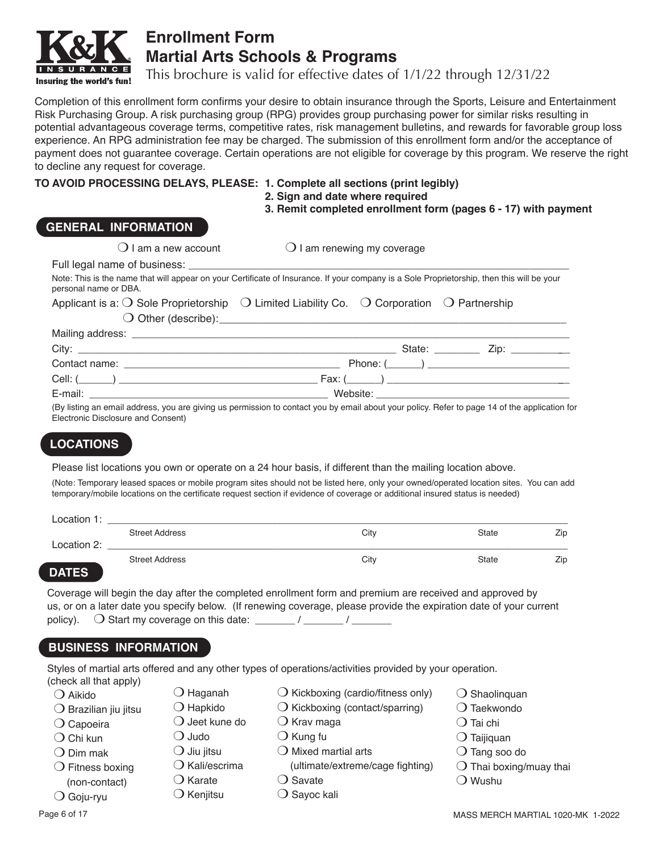

# **Enrollment Form Martial Arts Schools & Programs**

This brochure is valid for effective dates of 1/1/22 through 12/31/22

Completion of this enrollment form confirms your desire to obtain insurance through the Sports, Leisure and Entertainment Risk Purchasing Group. A risk purchasing group (RPG) provides group purchasing power for similar risks resulting in potential advantageous coverage terms, competitive rates, risk management bulletins, and rewards for favorable group loss experience. An RPG administration fee may be charged. The submission of this enrollment form and/or the acceptance of payment does not guarantee coverage. Certain operations are not eligible for coverage by this program. We reserve the right to decline any request for coverage.

### **TO AVOID PROCESSING DELAYS, PLEASE: 1. Complete all sections (print legibly)**

**2. Sign and date where required**

**3. Remit completed enrollment form (pages 6 - 17) with payment**

### **GENERAL INFORMATION**

| $\cup$ ranna new account                                                                                                                                                                                    | $\cup$ ran renewing my coverage |  |
|-------------------------------------------------------------------------------------------------------------------------------------------------------------------------------------------------------------|---------------------------------|--|
| Full legal name of business:                                                                                                                                                                                |                                 |  |
| Note: This is the name that will appear on your Certificate of Insurance. If your company is a Sole Proprietorship, then this will be your<br>personal name or DBA.                                         |                                 |  |
| Applicant is a: $\bigcirc$ Sole Proprietorship $\hspace{1mm} \bigcirc \hspace{1mm}$ Limited Liability Co. $\hspace{1mm} \bigcirc \hspace{1mm}$ Corporation $\hspace{1mm} \bigcirc \hspace{1mm}$ Partnership |                                 |  |
| $\bigcirc$ Other (describe):                                                                                                                                                                                |                                 |  |
| Mailing address: ______________________                                                                                                                                                                     |                                 |  |

 $\Omega$  and  $\Omega$  am renewing my coverage

| __<br>City:   |          | State: | ∠ip |  |
|---------------|----------|--------|-----|--|
| Contact name: | Phone: ( |        |     |  |
| Cell: (       | Fax: ∟   |        |     |  |
| E-mail:       | Website: |        |     |  |

(By listing an email address, you are giving us permission to contact you by email about your policy. Refer to page 14 of the application for Electronic Disclosure and Consent)

# **LOCATIONS**

Please list locations you own or operate on a 24 hour basis, if different than the mailing location above.

(Note: Temporary leased spaces or mobile program sites should not be listed here, only your owned/operated location sites. You can add temporary/mobile locations on the certificate request section if evidence of coverage or additional insured status is needed)

| Location 1:  |                       |      |       |     |
|--------------|-----------------------|------|-------|-----|
|              | <b>Street Address</b> | City | State | Zip |
| Location 2:  |                       |      |       |     |
| <b>DATEC</b> | <b>Street Address</b> | City | State | Zip |

# **DATES**

Coverage will begin the day after the completed enrollment form and premium are received and approved by us, or on a later date you specify below. (If renewing coverage, please provide the expiration date of your current policy).  $\bigcirc$  Start my coverage on this date: \_\_\_\_\_\_ / \_\_\_\_\_\_ / \_\_\_\_\_\_

# **BUSINESS INFORMATION**

Styles of martial arts offered and any other types of operations/activities provided by your operation. (check all that apply)

- $\bigcirc$  Aikido
- $\bigcirc$  Brazilian jiu jitsu
- $\bigcirc$  Capoeira
- $\bigcirc$  Chi kun
- $\bigcirc$  Dim mak

 $\bigcirc$  Goju-ryu

- $\bigcirc$  Fitness boxing
	- (non-contact)
		-
- $\bigcirc$  Karate

 $\bigcirc$  Haganah  $\bigcirc$  Hapkido  $\bigcirc$  Jeet kune do

 $\bigcirc$  Kenjitsu

 $\bigcirc$  Judo  $\bigcirc$  Jiu jitsu

- $\bigcirc$  Kickboxing (cardio/fitness only)
- $\bigcirc$  Kickboxing (contact/sparring)
- $\bigcirc$  Krav maga
- $\bigcirc$  Kung fu
	- $\bigcirc$  Mixed martial arts
	- (ultimate/extreme/cage fighting)
	- $\bigcirc$  Savate
		- $\bigcirc$  Sayoc kali

- $\bigcirc$  Tang soo do  $\bigcirc$  Thai boxing/muay thai
- $\bigcirc$  Wushu

 $\bigcirc$  Shaolinquan  $\bigcirc$  Taekwondo  $\bigcirc$  Tai chi  $\bigcirc$  Taijiquan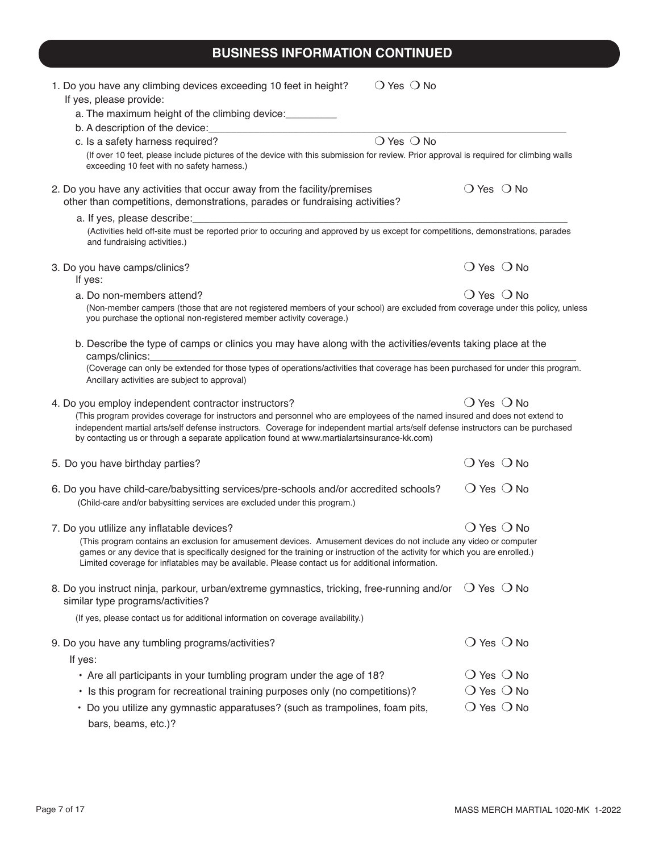# **BUSINESS INFORMATION CONTINUED**

| $\bigcirc$ Yes $\bigcirc$ No<br>1. Do you have any climbing devices exceeding 10 feet in height?<br>If yes, please provide:                                                                                                                                                                                                                                                                                               |                              |                              |
|---------------------------------------------------------------------------------------------------------------------------------------------------------------------------------------------------------------------------------------------------------------------------------------------------------------------------------------------------------------------------------------------------------------------------|------------------------------|------------------------------|
| a. The maximum height of the climbing device:                                                                                                                                                                                                                                                                                                                                                                             |                              |                              |
| b. A description of the device: [14] D. A description of the device:                                                                                                                                                                                                                                                                                                                                                      |                              |                              |
| $\bigcirc$ Yes $\bigcirc$ No<br>c. Is a safety harness required?                                                                                                                                                                                                                                                                                                                                                          |                              |                              |
| (If over 10 feet, please include pictures of the device with this submission for review. Prior approval is required for climbing walls<br>exceeding 10 feet with no safety harness.)                                                                                                                                                                                                                                      |                              |                              |
| 2. Do you have any activities that occur away from the facility/premises<br>other than competitions, demonstrations, parades or fundraising activities?                                                                                                                                                                                                                                                                   | $\bigcirc$ Yes $\bigcirc$ No |                              |
| a. If yes, please describe:                                                                                                                                                                                                                                                                                                                                                                                               |                              |                              |
| (Activities held off-site must be reported prior to occuring and approved by us except for competitions, demonstrations, parades<br>and fundraising activities.)                                                                                                                                                                                                                                                          |                              |                              |
| 3. Do you have camps/clinics?<br>If yes:                                                                                                                                                                                                                                                                                                                                                                                  | $\bigcirc$ Yes $\bigcirc$ No |                              |
| a. Do non-members attend?                                                                                                                                                                                                                                                                                                                                                                                                 | $\bigcirc$ Yes $\bigcirc$ No |                              |
| (Non-member campers (those that are not registered members of your school) are excluded from coverage under this policy, unless<br>you purchase the optional non-registered member activity coverage.)                                                                                                                                                                                                                    |                              |                              |
| b. Describe the type of camps or clinics you may have along with the activities/events taking place at the<br>camps/clinics:                                                                                                                                                                                                                                                                                              |                              |                              |
| (Coverage can only be extended for those types of operations/activities that coverage has been purchased for under this program.<br>Ancillary activities are subject to approval)                                                                                                                                                                                                                                         |                              |                              |
| 4. Do you employ independent contractor instructors?<br>(This program provides coverage for instructors and personnel who are employees of the named insured and does not extend to<br>independent martial arts/self defense instructors. Coverage for independent martial arts/self defense instructors can be purchased<br>by contacting us or through a separate application found at www.martialartsinsurance-kk.com) | $\bigcirc$ Yes $\bigcirc$ No |                              |
| 5. Do you have birthday parties?                                                                                                                                                                                                                                                                                                                                                                                          | $\bigcirc$ Yes $\bigcirc$ No |                              |
| 6. Do you have child-care/babysitting services/pre-schools and/or accredited schools?<br>(Child-care and/or babysitting services are excluded under this program.)                                                                                                                                                                                                                                                        | $\bigcirc$ Yes $\bigcirc$ No |                              |
| 7. Do you utlilize any inflatable devices?                                                                                                                                                                                                                                                                                                                                                                                | $\bigcirc$ Yes $\bigcirc$ No |                              |
| (This program contains an exclusion for amusement devices. Amusement devices do not include any video or computer<br>games or any device that is specifically designed for the training or instruction of the activity for which you are enrolled.)<br>Limited coverage for inflatables may be available. Please contact us for additional information.                                                                   |                              |                              |
| 8. Do you instruct ninja, parkour, urban/extreme gymnastics, tricking, free-running and/or<br>similar type programs/activities?                                                                                                                                                                                                                                                                                           | $\bigcirc$ Yes $\bigcirc$ No |                              |
| (If yes, please contact us for additional information on coverage availability.)                                                                                                                                                                                                                                                                                                                                          |                              |                              |
| 9. Do you have any tumbling programs/activities?                                                                                                                                                                                                                                                                                                                                                                          | $\bigcirc$ Yes $\bigcirc$ No |                              |
| If yes:                                                                                                                                                                                                                                                                                                                                                                                                                   |                              |                              |
| • Are all participants in your tumbling program under the age of 18?                                                                                                                                                                                                                                                                                                                                                      |                              | $\bigcirc$ Yes $\bigcirc$ No |
| • Is this program for recreational training purposes only (no competitions)?                                                                                                                                                                                                                                                                                                                                              |                              | $\bigcirc$ Yes $\bigcirc$ No |
| • Do you utilize any gymnastic apparatuses? (such as trampolines, foam pits,<br>bars, beams, etc.)?                                                                                                                                                                                                                                                                                                                       |                              | $\bigcirc$ Yes $\bigcirc$ No |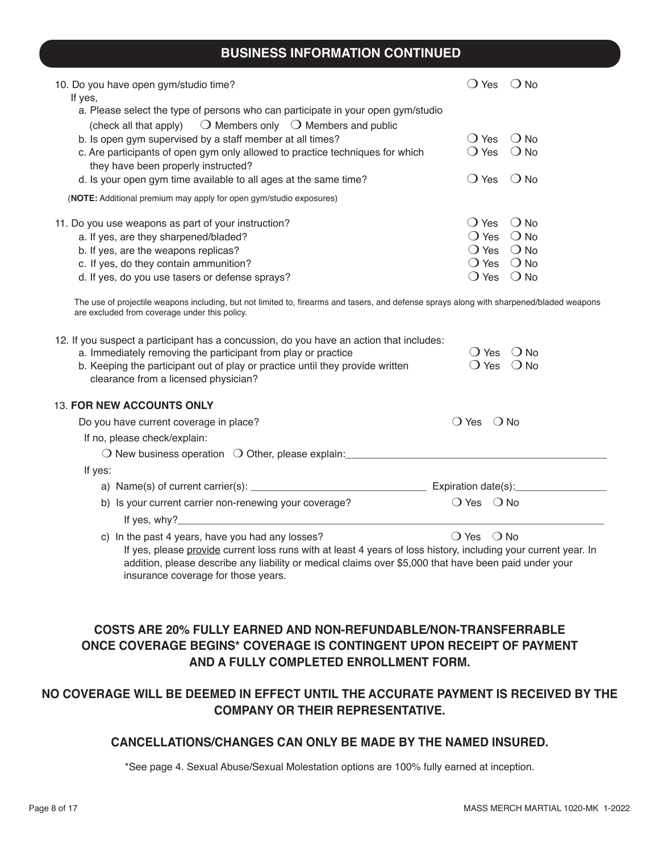# **BUSINESS INFORMATION CONTINUED**

| 10. Do you have open gym/studio time?<br>If yes,                                                                                  | Yes                                  |               |
|-----------------------------------------------------------------------------------------------------------------------------------|--------------------------------------|---------------|
| a. Please select the type of persons who can participate in your open gym/studio                                                  |                                      |               |
| (check all that apply) $\Box$ Members only $\Box$ Members and public<br>b. Is open gym supervised by a staff member at all times? | <b>Yes</b>                           | ( <b>)</b> Nດ |
| c. Are participants of open gym only allowed to practice techniques for which<br>they have been properly instructed?              | ◯ Yes                                | ( <b>)</b> No |
| d. Is your open gym time available to all ages at the same time?                                                                  | 'Yes<br>$\left( \quad \right)$       | ( ) N∩        |
| (NOTE: Additional premium may apply for open gym/studio exposures)                                                                |                                      |               |
| 11. Do you use weapons as part of your instruction?                                                                               | <b>Yes</b><br>$\left( \quad \right)$ | ( <b>)</b> Nດ |
| a. If yes, are they sharpened/bladed?                                                                                             | ( ) Yes                              | $\bigcirc$ No |
| b. If yes, are the weapons replicas?                                                                                              | ◯ Yes                                | $()$ No       |
| c. If yes, do they contain ammunition?                                                                                            | ( ) Yes                              | $\bigcirc$ No |
| d. If yes, do you use tasers or defense sprays?                                                                                   | Yes                                  | . ) N∩        |

The use of projectile weapons including, but not limited to, firearms and tasers, and defense sprays along with sharpened/bladed weapons are excluded from coverage under this policy.

| 12. If you suspect a participant has a concussion, do you have an action that includes:<br>a. Immediately removing the participant from play or practice<br>b. Keeping the participant out of play or practice until they provide written<br>clearance from a licensed physician? | $\bigcirc$ Yes<br>$()$ No<br>○ Yes ○ No |
|-----------------------------------------------------------------------------------------------------------------------------------------------------------------------------------------------------------------------------------------------------------------------------------|-----------------------------------------|
| <b>13. FOR NEW ACCOUNTS ONLY</b>                                                                                                                                                                                                                                                  |                                         |
| Do you have current coverage in place?                                                                                                                                                                                                                                            | $\bigcirc$ Yes<br>∩ No                  |
| If no, please check/explain:                                                                                                                                                                                                                                                      |                                         |
| $\bigcirc$ New business operation $\bigcirc$ Other, please explain:                                                                                                                                                                                                               |                                         |
| If yes:                                                                                                                                                                                                                                                                           |                                         |
|                                                                                                                                                                                                                                                                                   | Expiration date(s):                     |
| b) Is your current carrier non-renewing your coverage?                                                                                                                                                                                                                            | $\bigcirc$ Yes $\bigcirc$ No            |
| If yes, $why$ ?                                                                                                                                                                                                                                                                   |                                         |
| c) In the past 4 years, have you had any losses?<br>If yes, please provide current loss runs with at least 4 years of loss history, including your current year. In<br>addition, please describe any liability or medical claims over \$5,000 that have been paid under your      | $()$ Yes<br>( ) No                      |

### **COSTS ARE 20% FULLY EARNED AND NON-REFUNDABLE/NON-TRANSFERRABLE ONCE COVERAGE BEGINS\* COVERAGE IS CONTINGENT UPON RECEIPT OF PAYMENT AND A FULLY COMPLETED ENROLLMENT FORM.**

insurance coverage for those years.

### **NO COVERAGE WILL BE DEEMED IN EFFECT UNTIL THE ACCURATE PAYMENT IS RECEIVED BY THE COMPANY OR THEIR REPRESENTATIVE.**

### **CANCELLATIONS/CHANGES CAN ONLY BE MADE BY THE NAMED INSURED.**

\*See page 4. Sexual Abuse/Sexual Molestation options are 100% fully earned at inception.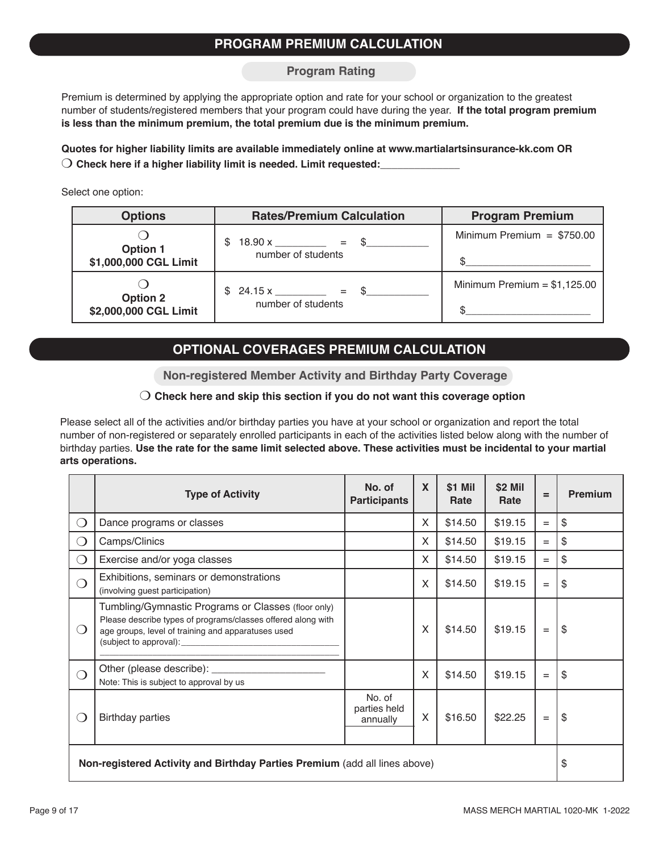### **PROGRAM PREMIUM CALCULATION**

#### **Program Rating**

Premium is determined by applying the appropriate option and rate for your school or organization to the greatest number of students/registered members that your program could have during the year. **If the total program premium is less than the minimum premium, the total premium due is the minimum premium.**

**Quotes for higher liability limits are available immediately online at www.martialartsinsurance-kk.com OR**  $\bigcirc$  Check here if a higher liability limit is needed. Limit requested:

Select one option:

| <b>Options</b>                           | <b>Rates/Premium Calculation</b>           | <b>Program Premium</b>        |
|------------------------------------------|--------------------------------------------|-------------------------------|
| <b>Option 1</b><br>\$1,000,000 CGL Limit | $18.90 x$ = \$<br>\$<br>number of students | Minimum Premium = $$750.00$   |
| <b>Option 2</b><br>\$2,000,000 CGL Limit | $$24.15 x$ = \$<br>number of students      | Minimum Premium = $$1,125.00$ |

# **OPTIONAL COVERAGES PREMIUM CALCULATION**

**Non-registered Member Activity and Birthday Party Coverage**

### m **Check here and skip this section if you do not want this coverage option**

Please select all of the activities and/or birthday parties you have at your school or organization and report the total number of non-registered or separately enrolled participants in each of the activities listed below along with the number of birthday parties. **Use the rate for the same limit selected above. These activities must be incidental to your martial arts operations.**

|                                                                            | <b>Type of Activity</b>                                                                                                                                                                             | No. of<br><b>Participants</b>      | X | \$1 Mil<br>Rate | \$2 Mil<br>Rate | $=$               | <b>Premium</b> |
|----------------------------------------------------------------------------|-----------------------------------------------------------------------------------------------------------------------------------------------------------------------------------------------------|------------------------------------|---|-----------------|-----------------|-------------------|----------------|
| $\bigcirc$                                                                 | Dance programs or classes                                                                                                                                                                           |                                    | X | \$14.50         | \$19.15         | $=$               | \$             |
| $\bigcirc$                                                                 | Camps/Clinics                                                                                                                                                                                       |                                    | X | \$14.50         | \$19.15         | $=$               | \$             |
| $\bigcirc$                                                                 | Exercise and/or yoga classes                                                                                                                                                                        |                                    | X | \$14.50         | \$19.15         | $=$               | \$             |
| ∩                                                                          | Exhibitions, seminars or demonstrations<br>(involving guest participation)                                                                                                                          |                                    | X | \$14.50         | \$19.15         | $\qquad \qquad =$ | \$             |
| $\left(\begin{array}{c}\right)$                                            | Tumbling/Gymnastic Programs or Classes (floor only)<br>Please describe types of programs/classes offered along with<br>age groups, level of training and apparatuses used<br>(subject to approval): |                                    | X | \$14.50         | \$19.15         | $=$               | \$             |
| ⌒                                                                          | Other (please describe):<br>Note: This is subject to approval by us                                                                                                                                 |                                    | X | \$14.50         | \$19.15         | $=$               | \$             |
| $\left( \right)$                                                           | <b>Birthday parties</b>                                                                                                                                                                             | No. of<br>parties held<br>annually | X | \$16.50         | \$22.25         | $\qquad \qquad =$ | \$             |
| Non-registered Activity and Birthday Parties Premium (add all lines above) |                                                                                                                                                                                                     |                                    |   |                 | \$              |                   |                |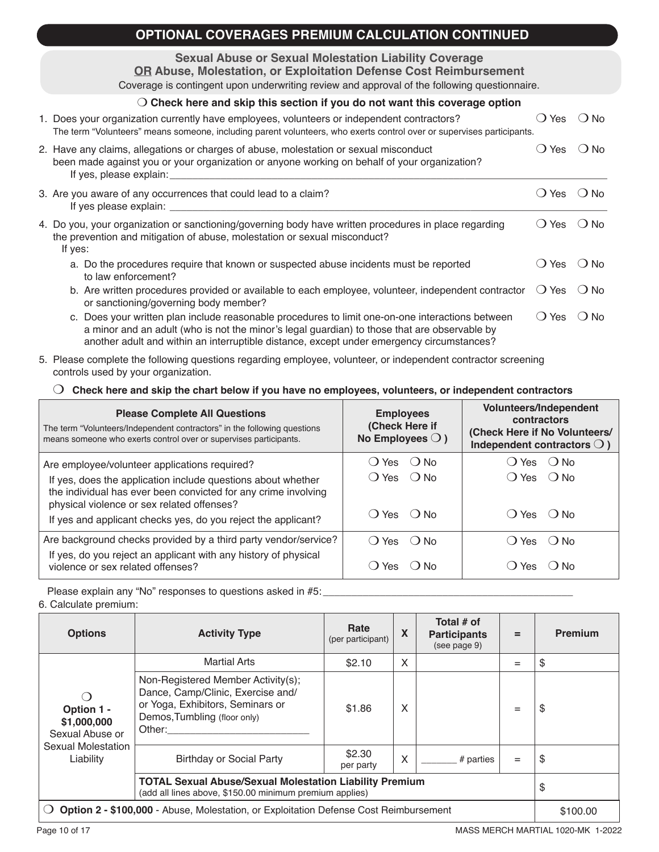| <b>OPTIONAL COVERAGES PREMIUM CALCULATION CONTINUED</b>                                                                                                                                                                                                                                       |                |               |
|-----------------------------------------------------------------------------------------------------------------------------------------------------------------------------------------------------------------------------------------------------------------------------------------------|----------------|---------------|
| <b>Sexual Abuse or Sexual Molestation Liability Coverage</b><br><b>OR Abuse, Molestation, or Exploitation Defense Cost Reimbursement</b><br>Coverage is contingent upon underwriting review and approval of the following questionnaire.                                                      |                |               |
| $\bigcirc$ Check here and skip this section if you do not want this coverage option                                                                                                                                                                                                           |                |               |
| 1. Does your organization currently have employees, volunteers or independent contractors?<br>The term "Volunteers" means someone, including parent volunteers, who exerts control over or supervises participants.                                                                           | $\bigcirc$ Yes | $()$ No       |
| 2. Have any claims, allegations or charges of abuse, molestation or sexual misconduct<br>been made against you or your organization or anyone working on behalf of your organization?<br>If yes, please explain:                                                                              | $\bigcirc$ Yes | $()$ No       |
| 3. Are you aware of any occurrences that could lead to a claim?                                                                                                                                                                                                                               | $\bigcirc$ Yes | $\bigcirc$ No |
| 4. Do you, your organization or sanctioning/governing body have written procedures in place regarding<br>the prevention and mitigation of abuse, molestation or sexual misconduct?<br>If yes:                                                                                                 | $\bigcirc$ Yes | $\bigcirc$ No |
| a. Do the procedures require that known or suspected abuse incidents must be reported<br>to law enforcement?                                                                                                                                                                                  | $\bigcirc$ Yes | $()$ No       |
| b. Are written procedures provided or available to each employee, volunteer, independent contractor<br>or sanctioning/governing body member?                                                                                                                                                  | $\bigcirc$ Yes | $()$ No       |
| c. Does your written plan include reasonable procedures to limit one-on-one interactions between<br>a minor and an adult (who is not the minor's legal guardian) to those that are observable by<br>another adult and within an interruptible distance, except under emergency circumstances? | $\bigcirc$ Yes | $()$ No       |

5. Please complete the following questions regarding employee, volunteer, or independent contractor screening controls used by your organization.

### m **Check here and skip the chart below if you have no employees, volunteers, or independent contractors**

| <b>Please Complete All Questions</b><br>The term "Volunteers/Independent contractors" in the following questions<br>means someone who exerts control over or supervises participants. | <b>Employees</b><br>(Check Here if<br>No Employees $\bigcirc$ ) | Volunteers/Independent<br>contractors<br>(Check Here if No Volunteers/<br>Independent contractors $\bigcirc$ ) |
|---------------------------------------------------------------------------------------------------------------------------------------------------------------------------------------|-----------------------------------------------------------------|----------------------------------------------------------------------------------------------------------------|
| Are employee/volunteer applications required?                                                                                                                                         | () Yes () No                                                    | $OYes$ $ONO$                                                                                                   |
| If yes, does the application include questions about whether<br>the individual has ever been convicted for any crime involving<br>physical violence or sex related offenses?          | $()$ Yes $()$ No                                                | $O$ Yes $O$ No                                                                                                 |
| If yes and applicant checks yes, do you reject the applicant?                                                                                                                         | $O$ Yes $O$ No                                                  | $()$ Yes $()$ No                                                                                               |
| Are background checks provided by a third party vendor/service?                                                                                                                       | $()$ Yes $()$ No                                                | () Yes () No                                                                                                   |
| If yes, do you reject an applicant with any history of physical<br>violence or sex related offenses?                                                                                  | ◯ Yes<br>( ) N∩                                                 | ( Yes<br>( ) N∩                                                                                                |

Please explain any "No" responses to questions asked in #5: 6. Calculate premium:

| <b>Options</b>                                                                                            | <b>Activity Type</b>                                                                                                                                  | Rate<br>(per participant) | X | Total # of<br><b>Participants</b><br>(see page 9) | $=$ | <b>Premium</b> |
|-----------------------------------------------------------------------------------------------------------|-------------------------------------------------------------------------------------------------------------------------------------------------------|---------------------------|---|---------------------------------------------------|-----|----------------|
|                                                                                                           | <b>Martial Arts</b>                                                                                                                                   | \$2.10                    | X |                                                   | $=$ | S              |
| $\left( \right)$<br>Option 1 -<br>\$1,000,000<br>Sexual Abuse or                                          | Non-Registered Member Activity(s);<br>Dance, Camp/Clinic, Exercise and/<br>or Yoga, Exhibitors, Seminars or<br>Demos, Tumbling (floor only)<br>Other: | \$1.86                    | X |                                                   | $=$ | \$             |
| Sexual Molestation<br>Liability                                                                           | <b>Birthday or Social Party</b>                                                                                                                       | \$2.30<br>per party       | X | $#$ parties                                       | $=$ | \$             |
|                                                                                                           | <b>TOTAL Sexual Abuse/Sexual Molestation Liability Premium</b><br>(add all lines above, \$150.00 minimum premium applies)                             | \$                        |   |                                                   |     |                |
| Option 2 - \$100,000 - Abuse, Molestation, or Exploitation Defense Cost Reimbursement<br>$\left( \right)$ |                                                                                                                                                       |                           |   |                                                   |     | \$100.00       |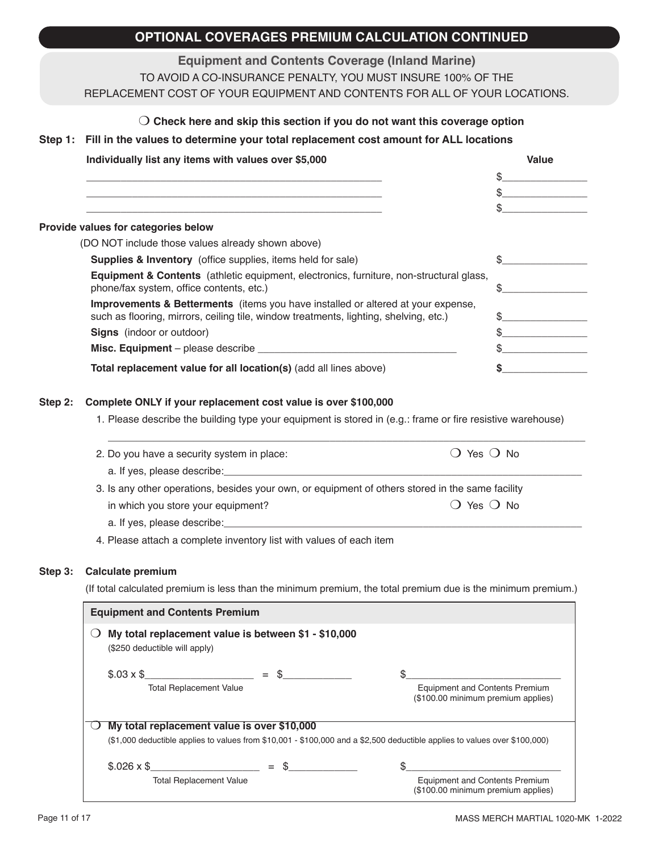# **OPTIONAL COVERAGES PREMIUM CALCULATION CONTINUED**

### **Equipment and Contents Coverage (Inland Marine)**

TO AVOID A CO-INSURANCE PENALTY, YOU MUST INSURE 100% OF THE

#### REPLACEMENT COST OF YOUR EQUIPMENT AND CONTENTS FOR ALL OF YOUR LOCATIONS.

#### m **Check here and skip this section if you do not want this coverage option**

#### **Step 1: Fill in the values to determine your total replacement cost amount for ALL locations**

| Individually list any items with values over \$5,000                                                                                                                                 | Value |
|--------------------------------------------------------------------------------------------------------------------------------------------------------------------------------------|-------|
|                                                                                                                                                                                      |       |
|                                                                                                                                                                                      |       |
|                                                                                                                                                                                      |       |
| Provide values for categories below                                                                                                                                                  |       |
| (DO NOT include those values already shown above)                                                                                                                                    |       |
| <b>Supplies &amp; Inventory</b> (office supplies, items held for sale)                                                                                                               |       |
| <b>Equipment &amp; Contents</b> (athletic equipment, electronics, furniture, non-structural glass,<br>phone/fax system, office contents, etc.)                                       |       |
| <b>Improvements &amp; Betterments</b> (items you have installed or altered at your expense,<br>such as flooring, mirrors, ceiling tile, window treatments, lighting, shelving, etc.) |       |
| <b>Signs</b> (indoor or outdoor)                                                                                                                                                     |       |
|                                                                                                                                                                                      |       |
| Total replacement value for all location(s) (add all lines above)                                                                                                                    |       |

#### **Step 2: Complete ONLY if your replacement cost value is over \$100,000**

1. Please describe the building type your equipment is stored in (e.g.: frame or fire resistive warehouse)

| 2. Do you have a security system in place:                                                       | () Yes () No     |  |
|--------------------------------------------------------------------------------------------------|------------------|--|
| a. If yes, please describe:                                                                      |                  |  |
| 3. Is any other operations, besides your own, or equipment of others stored in the same facility |                  |  |
| in which you store your equipment?                                                               | $()$ Yes $()$ No |  |
| a. If yes, please describe:                                                                      |                  |  |

4. Please attach a complete inventory list with values of each item

#### **Step 3: Calculate premium**

(If total calculated premium is less than the minimum premium, the total premium due is the minimum premium.)

| <b>Equipment and Contents Premium</b>       |                                                      |                                                                                                                                     |
|---------------------------------------------|------------------------------------------------------|-------------------------------------------------------------------------------------------------------------------------------------|
| (\$250 deductible will apply)               | My total replacement value is between \$1 - \$10,000 |                                                                                                                                     |
| <b>Total Replacement Value</b>              | $$.03 \times $$ = \$                                 | <b>Equipment and Contents Premium</b><br>(\$100.00 minimum premium applies)                                                         |
| My total replacement value is over \$10,000 |                                                      |                                                                                                                                     |
|                                             |                                                      | $(\$1,000$ deductible applies to values from $\$10,001$ - $\$100,000$ and a $\$2,500$ deductible applies to values over $\$100,000$ |
| $$.026 \times $$                            | $=$ \$                                               |                                                                                                                                     |
| <b>Total Replacement Value</b>              |                                                      | <b>Equipment and Contents Premium</b><br>(\$100.00 minimum premium applies)                                                         |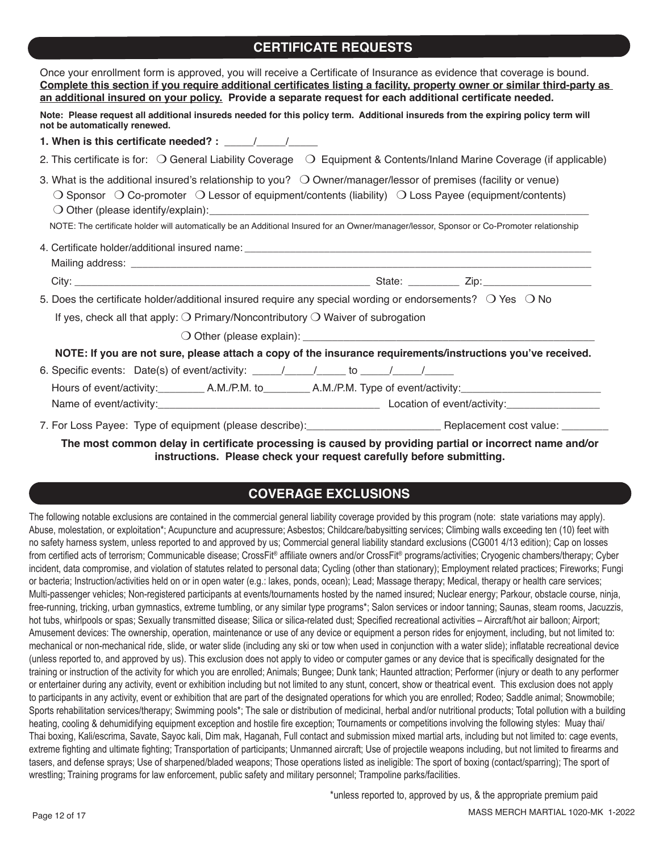# **CERTIFICATE REQUESTS**

| Once your enrollment form is approved, you will receive a Certificate of Insurance as evidence that coverage is bound.<br>Complete this section if you require additional certificates listing a facility, property owner or similar third-party as<br>an additional insured on your policy. Provide a separate request for each additional certificate needed.                                                   |
|-------------------------------------------------------------------------------------------------------------------------------------------------------------------------------------------------------------------------------------------------------------------------------------------------------------------------------------------------------------------------------------------------------------------|
| Note: Please request all additional insureds needed for this policy term. Additional insureds from the expiring policy term will<br>not be automatically renewed.                                                                                                                                                                                                                                                 |
| 1. When is this certificate needed? : $\frac{1}{\sqrt{1-\frac{1}{2}}}\frac{1}{\sqrt{1-\frac{1}{2}}}}$                                                                                                                                                                                                                                                                                                             |
| 2. This certificate is for: $\bigcirc$ General Liability Coverage $\bigcirc$ Equipment & Contents/Inland Marine Coverage (if applicable)                                                                                                                                                                                                                                                                          |
| 3. What is the additional insured's relationship to you? $\bigcirc$ Owner/manager/lessor of premises (facility or venue)<br>$\bigcirc$ Sponsor $\bigcirc$ Co-promoter $\bigcirc$ Lessor of equipment/contents (liability) $\bigcirc$ Loss Payee (equipment/contents)<br>NOTE: The certificate holder will automatically be an Additional Insured for an Owner/manager/lessor, Sponsor or Co-Promoter relationship |
|                                                                                                                                                                                                                                                                                                                                                                                                                   |
|                                                                                                                                                                                                                                                                                                                                                                                                                   |
| 5. Does the certificate holder/additional insured require any special wording or endorsements? $\bigcirc$ Yes $\bigcirc$ No                                                                                                                                                                                                                                                                                       |
| If yes, check all that apply: $\bigcirc$ Primary/Noncontributory $\bigcirc$ Waiver of subrogation                                                                                                                                                                                                                                                                                                                 |
|                                                                                                                                                                                                                                                                                                                                                                                                                   |
| NOTE: If you are not sure, please attach a copy of the insurance requirements/instructions you've received.                                                                                                                                                                                                                                                                                                       |
|                                                                                                                                                                                                                                                                                                                                                                                                                   |
| The meet common delay to contificate much class to correct by much then nontel on to come at nome couldn't                                                                                                                                                                                                                                                                                                        |

**The most common delay in certificate processing is caused by providing partial or incorrect name and/or instructions. Please check your request carefully before submitting.**

# **COVERAGE EXCLUSIONS**

The following notable exclusions are contained in the commercial general liability coverage provided by this program (note: state variations may apply). Abuse, molestation, or exploitation\*; Acupuncture and acupressure; Asbestos; Childcare/babysitting services; Climbing walls exceeding ten (10) feet with no safety harness system, unless reported to and approved by us; Commercial general liability standard exclusions (CG001 4/13 edition); Cap on losses from certified acts of terrorism; Communicable disease; CrossFit® affiliate owners and/or CrossFit® programs/activities; Cryogenic chambers/therapy; Cyber incident, data compromise, and violation of statutes related to personal data; Cycling (other than stationary); Employment related practices; Fireworks; Fungi or bacteria; Instruction/activities held on or in open water (e.g.: lakes, ponds, ocean); Lead; Massage therapy; Medical, therapy or health care services; Multi-passenger vehicles; Non-registered participants at events/tournaments hosted by the named insured; Nuclear energy; Parkour, obstacle course, ninja, free-running, tricking, urban gymnastics, extreme tumbling, or any similar type programs\*; Salon services or indoor tanning; Saunas, steam rooms, Jacuzzis, hot tubs, whirlpools or spas; Sexually transmitted disease; Silica or silica-related dust; Specified recreational activities - Aircraft/hot air balloon; Airport; Amusement devices: The ownership, operation, maintenance or use of any device or equipment a person rides for enjoyment, including, but not limited to: mechanical or non-mechanical ride, slide, or water slide (including any ski or tow when used in conjunction with a water slide); inflatable recreational device (unless reported to, and approved by us). This exclusion does not apply to video or computer games or any device that is specifically designated for the training or instruction of the activity for which you are enrolled; Animals; Bungee; Dunk tank; Haunted attraction; Performer (injury or death to any performer or entertainer during any activity, event or exhibition including but not limited to any stunt, concert, show or theatrical event. This exclusion does not apply to participants in any activity, event or exhibition that are part of the designated operations for which you are enrolled; Rodeo; Saddle animal; Snowmobile; Sports rehabilitation services/therapy; Swimming pools\*; The sale or distribution of medicinal, herbal and/or nutritional products; Total pollution with a building heating, cooling & dehumidifying equipment exception and hostile fire exception; Tournaments or competitions involving the following styles: Muay thai/ Thai boxing, Kali/escrima, Savate, Sayoc kali, Dim mak, Haganah, Full contact and submission mixed martial arts, including but not limited to: cage events, extreme fighting and ultimate fighting; Transportation of participants; Unmanned aircraft; Use of projectile weapons including, but not limited to firearms and tasers, and defense sprays; Use of sharpened/bladed weapons; Those operations listed as ineligible: The sport of boxing (contact/sparring); The sport of wrestling; Training programs for law enforcement, public safety and military personnel; Trampoline parks/facilities.

\*unless reported to, approved by us, & the appropriate premium paid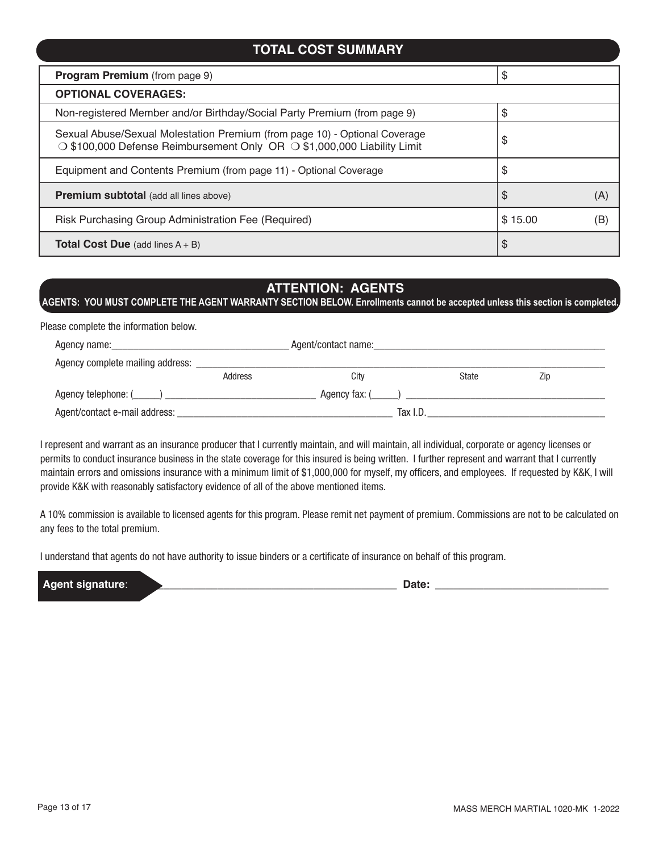# **Program Premium** (from page 9) **\$**  $\$\$$ **OPTIONAL COVERAGES:** Non-registered Member and/or Birthday/Social Party Premium (from page 9)  $\frac{1}{3}$ Sexual Abuse/Sexual Molestation Premium (from page 10) - Optional Coverage  $\sim$  3 Sexual Abuse/Sexual Molestation Fremium (nom page To) - Optional Coverage<br>  $\sim$  \$100,000 Defense Reimbursement Only OR  $\sim$  \$1,000,000 Liability Limit  $\sim$ Equipment and Contents Premium (from page 11) - Optional Coverage  $\$\$$ **Premium subtotal** (add all lines above)  $\begin{bmatrix} \text{S} \\ \text{A} \end{bmatrix}$  (A) Risk Purchasing Group Administration Fee (Required)  $\vert$  \$ 15.00 (B) **Total Cost Due** (add lines A + B)  $\sim$  **\$ TOTAL COST SUMMARY**

# **ATTENTION: AGENTS**

**AGENTS: YOU MUST COMPLETE THE AGENT WARRANTY SECTION BELOW. Enrollments cannot be accepted unless this section is completed.**

Please complete the information below.

| Agent/contact name:<br>Agency name: the contract of the contract of the contract of the contract of the contract of the contract of the contract of the contract of the contract of the contract of the contract of the contract of the contract of t |         |               |       |     |  |
|-------------------------------------------------------------------------------------------------------------------------------------------------------------------------------------------------------------------------------------------------------|---------|---------------|-------|-----|--|
| Agency complete mailing address:                                                                                                                                                                                                                      |         |               |       |     |  |
|                                                                                                                                                                                                                                                       | Address | Citv          | State | Zip |  |
|                                                                                                                                                                                                                                                       |         | Agency fax: ( |       |     |  |
| Agent/contact e-mail address:                                                                                                                                                                                                                         |         | Tax I.D.      |       |     |  |

I represent and warrant as an insurance producer that I currently maintain, and will maintain, all individual, corporate or agency licenses or permits to conduct insurance business in the state coverage for this insured is being written. I further represent and warrant that I currently maintain errors and omissions insurance with a minimum limit of \$1,000,000 for myself, my officers, and employees. If requested by K&K, I will provide K&K with reasonably satisfactory evidence of all of the above mentioned items.

A 10% commission is available to licensed agents for this program. Please remit net payment of premium. Commissions are not to be calculated on any fees to the total premium.

I understand that agents do not have authority to issue binders or a certificate of insurance on behalf of this program.

**Agent signature**: \_\_\_\_\_\_\_\_\_\_\_\_\_\_\_\_\_\_\_\_\_\_\_\_\_\_\_\_\_\_\_\_\_\_\_\_\_\_\_\_\_\_\_\_ **Date:** \_\_\_\_\_\_\_\_\_\_\_\_\_\_\_\_\_\_\_\_\_\_\_\_\_\_\_\_\_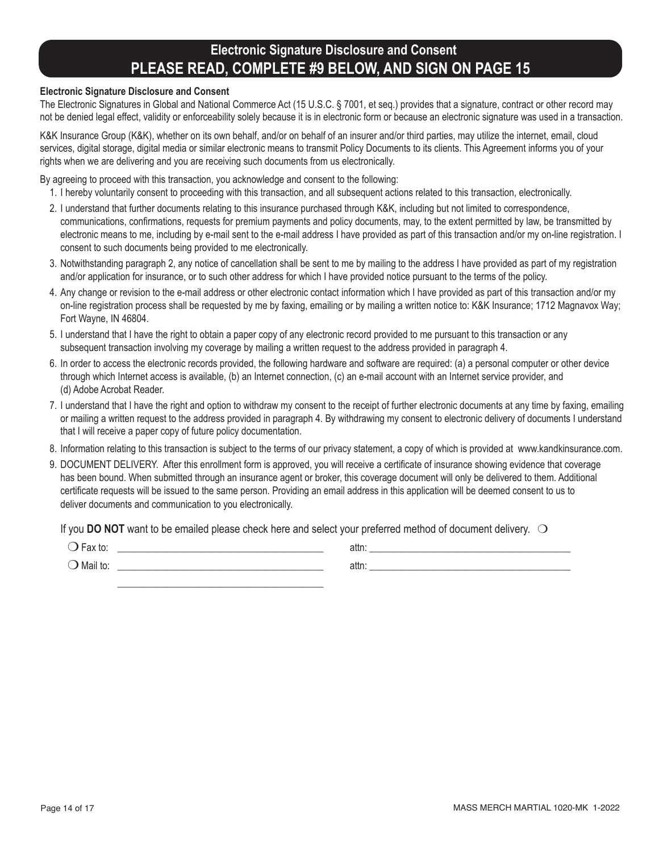# **Electronic Signature Disclosure and Consent PLEASE READ, COMPLETE #9 BELOW, AND SIGN ON PAGE 15**

#### **Electronic Signature Disclosure and Consent**

The Electronic Signatures in Global and National Commerce Act (15 U.S.C. § 7001, et seq.) provides that a signature, contract or other record may not be denied legal effect, validity or enforceability solely because it is in electronic form or because an electronic signature was used in a transaction.

K&K Insurance Group (K&K), whether on its own behalf, and/or on behalf of an insurer and/or third parties, may utilize the internet, email, cloud services, digital storage, digital media or similar electronic means to transmit Policy Documents to its clients. This Agreement informs you of your rights when we are delivering and you are receiving such documents from us electronically.

By agreeing to proceed with this transaction, you acknowledge and consent to the following:

- 1. I hereby voluntarily consent to proceeding with this transaction, and all subsequent actions related to this transaction, electronically.
- 2. I understand that further documents relating to this insurance purchased through K&K, including but not limited to correspondence, communications, confirmations, requests for premium payments and policy documents, may, to the extent permitted by law, be transmitted by electronic means to me, including by e-mail sent to the e-mail address I have provided as part of this transaction and/or my on-line registration. I consent to such documents being provided to me electronically.
- 3. Notwithstanding paragraph 2, any notice of cancellation shall be sent to me by mailing to the address I have provided as part of my registration and/or application for insurance, or to such other address for which I have provided notice pursuant to the terms of the policy.
- 4. Any change or revision to the e-mail address or other electronic contact information which I have provided as part of this transaction and/or my on-line registration process shall be requested by me by faxing, emailing or by mailing a written notice to: K&K Insurance; 1712 Magnavox Way; Fort Wayne, IN 46804.
- 5. I understand that I have the right to obtain a paper copy of any electronic record provided to me pursuant to this transaction or any subsequent transaction involving my coverage by mailing a written request to the address provided in paragraph 4.
- 6. In order to access the electronic records provided, the following hardware and software are required: (a) a personal computer or other device through which Internet access is available, (b) an Internet connection, (c) an e-mail account with an Internet service provider, and (d) Adobe Acrobat Reader.
- 7. I understand that I have the right and option to withdraw my consent to the receipt of further electronic documents at any time by faxing, emailing or mailing a written request to the address provided in paragraph 4. By withdrawing my consent to electronic delivery of documents I understand that I will receive a paper copy of future policy documentation.
- 8. Information relating to this transaction is subject to the terms of our privacy statement, a copy of which is provided at www.kandkinsurance.com.
- 9. DOCUMENT DELIVERY. After this enrollment form is approved, you will receive a certificate of insurance showing evidence that coverage has been bound. When submitted through an insurance agent or broker, this coverage document will only be delivered to them. Additional certificate requests will be issued to the same person. Providing an email address in this application will be deemed consent to us to deliver documents and communication to you electronically.

If you **DO NOT** want to be emailed please check here and select your preferred method of document delivery.  $\bigcirc$ 

 $\bigcirc$  Fax to:  $\qquad \qquad$  attr

 m Mail to: \_\_\_\_\_\_\_\_\_\_\_\_\_\_\_\_\_\_\_\_\_\_\_\_\_\_\_\_\_\_\_\_\_\_\_\_\_\_\_\_\_\_ attn: \_\_\_\_\_\_\_\_\_\_\_\_\_\_\_\_\_\_\_\_\_\_\_\_\_\_\_\_\_\_\_\_\_\_\_\_\_\_\_\_\_ \_\_\_\_\_\_\_\_\_\_\_\_\_\_\_\_\_\_\_\_\_\_\_\_\_\_\_\_\_\_\_\_\_\_\_\_\_\_\_\_\_\_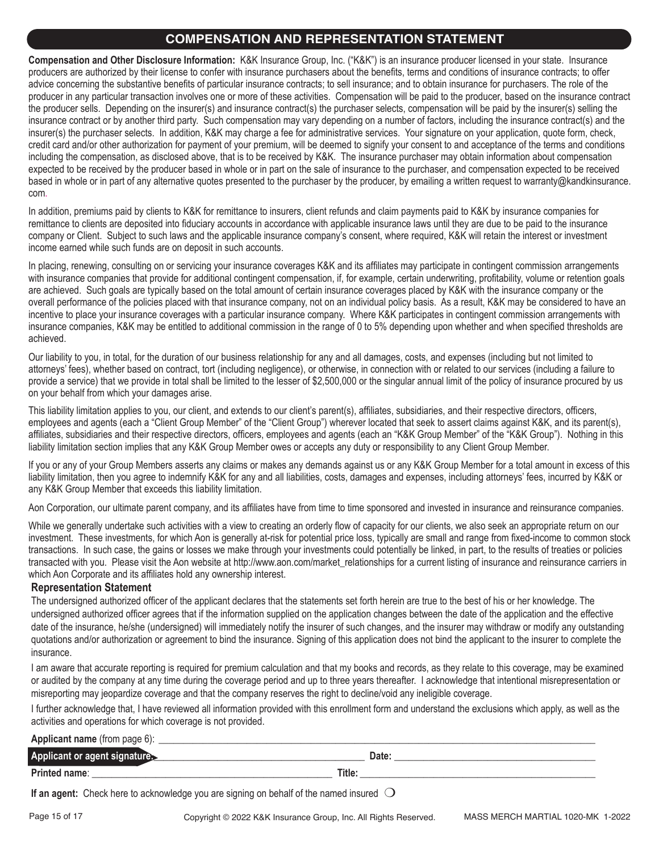# **COMPENSATION AND REPRESENTATION STATEMENT**

**Compensation and Other Disclosure Information:** K&K Insurance Group, Inc. ("K&K") is an insurance producer licensed in your state. Insurance producers are authorized by their license to confer with insurance purchasers about the benefits, terms and conditions of insurance contracts; to offer advice concerning the substantive benefits of particular insurance contracts; to sell insurance; and to obtain insurance for purchasers. The role of the producer in any particular transaction involves one or more of these activities. Compensation will be paid to the producer, based on the insurance contract the producer sells. Depending on the insurer(s) and insurance contract(s) the purchaser selects, compensation will be paid by the insurer(s) selling the insurance contract or by another third party. Such compensation may vary depending on a number of factors, including the insurance contract(s) and the insurer(s) the purchaser selects. In addition, K&K may charge a fee for administrative services. Your signature on your application, quote form, check, credit card and/or other authorization for payment of your premium, will be deemed to signify your consent to and acceptance of the terms and conditions including the compensation, as disclosed above, that is to be received by K&K. The insurance purchaser may obtain information about compensation expected to be received by the producer based in whole or in part on the sale of insurance to the purchaser, and compensation expected to be received based in whole or in part of any alternative quotes presented to the purchaser by the producer, by emailing a written request to warranty@kandkinsurance. com.

In addition, premiums paid by clients to K&K for remittance to insurers, client refunds and claim payments paid to K&K by insurance companies for remittance to clients are deposited into fiduciary accounts in accordance with applicable insurance laws until they are due to be paid to the insurance company or Client. Subject to such laws and the applicable insurance company's consent, where required, K&K will retain the interest or investment income earned while such funds are on deposit in such accounts.

In placing, renewing, consulting on or servicing your insurance coverages K&K and its affiliates may participate in contingent commission arrangements with insurance companies that provide for additional contingent compensation, if, for example, certain underwriting, profitability, volume or retention goals are achieved. Such goals are typically based on the total amount of certain insurance coverages placed by K&K with the insurance company or the overall performance of the policies placed with that insurance company, not on an individual policy basis. As a result, K&K may be considered to have an incentive to place your insurance coverages with a particular insurance company. Where K&K participates in contingent commission arrangements with insurance companies, K&K may be entitled to additional commission in the range of 0 to 5% depending upon whether and when specified thresholds are achieved.

Our liability to you, in total, for the duration of our business relationship for any and all damages, costs, and expenses (including but not limited to attorneys' fees), whether based on contract, tort (including negligence), or otherwise, in connection with or related to our services (including a failure to provide a service) that we provide in total shall be limited to the lesser of \$2,500,000 or the singular annual limit of the policy of insurance procured by us on your behalf from which your damages arise.

This liability limitation applies to you, our client, and extends to our client's parent(s), affiliates, subsidiaries, and their respective directors, officers, employees and agents (each a "Client Group Member" of the "Client Group") wherever located that seek to assert claims against K&K, and its parent(s), affiliates, subsidiaries and their respective directors, officers, employees and agents (each an "K&K Group Member" of the "K&K Group"). Nothing in this liability limitation section implies that any K&K Group Member owes or accepts any duty or responsibility to any Client Group Member.

If you or any of your Group Members asserts any claims or makes any demands against us or any K&K Group Member for a total amount in excess of this liability limitation, then you agree to indemnify K&K for any and all liabilities, costs, damages and expenses, including attorneys' fees, incurred by K&K or any K&K Group Member that exceeds this liability limitation.

Aon Corporation, our ultimate parent company, and its affiliates have from time to time sponsored and invested in insurance and reinsurance companies.

While we generally undertake such activities with a view to creating an orderly flow of capacity for our clients, we also seek an appropriate return on our investment. These investments, for which Aon is generally at-risk for potential price loss, typically are small and range from fixed-income to common stock transactions. In such case, the gains or losses we make through your investments could potentially be linked, in part, to the results of treaties or policies transacted with you. Please visit the Aon website at http://www.aon.com/market\_relationships for a current listing of insurance and reinsurance carriers in which Aon Corporate and its affiliates hold any ownership interest.

### **Representation Statement**

The undersigned authorized officer of the applicant declares that the statements set forth herein are true to the best of his or her knowledge. The undersigned authorized officer agrees that if the information supplied on the application changes between the date of the application and the effective date of the insurance, he/she (undersigned) will immediately notify the insurer of such changes, and the insurer may withdraw or modify any outstanding quotations and/or authorization or agreement to bind the insurance. Signing of this application does not bind the applicant to the insurer to complete the insurance.

I am aware that accurate reporting is required for premium calculation and that my books and records, as they relate to this coverage, may be examined or audited by the company at any time during the coverage period and up to three years thereafter. I acknowledge that intentional misrepresentation or misreporting may jeopardize coverage and that the company reserves the right to decline/void any ineligible coverage.

I further acknowledge that, I have reviewed all information provided with this enrollment form and understand the exclusions which apply, as well as the activities and operations for which coverage is not provided.

#### **Applicant name** (from page 6):

| <b>Applicant or</b><br>agent |       | ገላተለ<br>υαιτ |
|------------------------------|-------|--------------|
| <b>Printed</b><br>∣name∶     | Title |              |

**If an agent:** Check here to acknowledge you are signing on behalf of the named insured  $\bigcirc$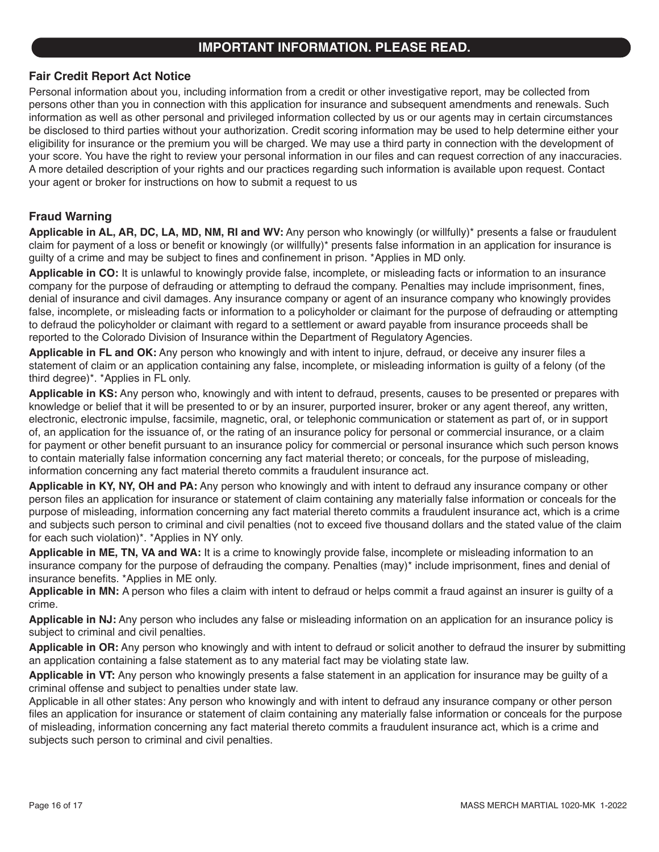# **IMPORTANT INFORMATION. PLEASE READ.**

### **Fair Credit Report Act Notice**

Personal information about you, including information from a credit or other investigative report, may be collected from persons other than you in connection with this application for insurance and subsequent amendments and renewals. Such information as well as other personal and privileged information collected by us or our agents may in certain circumstances be disclosed to third parties without your authorization. Credit scoring information may be used to help determine either your eligibility for insurance or the premium you will be charged. We may use a third party in connection with the development of your score. You have the right to review your personal information in our files and can request correction of any inaccuracies. A more detailed description of your rights and our practices regarding such information is available upon request. Contact your agent or broker for instructions on how to submit a request to us

### **Fraud Warning**

**Applicable in AL, AR, DC, LA, MD, NM, RI and WV:** Any person who knowingly (or willfully)\* presents a false or fraudulent claim for payment of a loss or benefit or knowingly (or willfully)\* presents false information in an application for insurance is guilty of a crime and may be subject to fines and confinement in prison. \*Applies in MD only.

**Applicable in CO:** It is unlawful to knowingly provide false, incomplete, or misleading facts or information to an insurance company for the purpose of defrauding or attempting to defraud the company. Penalties may include imprisonment, fines, denial of insurance and civil damages. Any insurance company or agent of an insurance company who knowingly provides false, incomplete, or misleading facts or information to a policyholder or claimant for the purpose of defrauding or attempting to defraud the policyholder or claimant with regard to a settlement or award payable from insurance proceeds shall be reported to the Colorado Division of Insurance within the Department of Regulatory Agencies.

**Applicable in FL and OK:** Any person who knowingly and with intent to injure, defraud, or deceive any insurer files a statement of claim or an application containing any false, incomplete, or misleading information is guilty of a felony (of the third degree)\*. \*Applies in FL only.

**Applicable in KS:** Any person who, knowingly and with intent to defraud, presents, causes to be presented or prepares with knowledge or belief that it will be presented to or by an insurer, purported insurer, broker or any agent thereof, any written, electronic, electronic impulse, facsimile, magnetic, oral, or telephonic communication or statement as part of, or in support of, an application for the issuance of, or the rating of an insurance policy for personal or commercial insurance, or a claim for payment or other benefit pursuant to an insurance policy for commercial or personal insurance which such person knows to contain materially false information concerning any fact material thereto; or conceals, for the purpose of misleading, information concerning any fact material thereto commits a fraudulent insurance act.

**Applicable in KY, NY, OH and PA:** Any person who knowingly and with intent to defraud any insurance company or other person files an application for insurance or statement of claim containing any materially false information or conceals for the purpose of misleading, information concerning any fact material thereto commits a fraudulent insurance act, which is a crime and subjects such person to criminal and civil penalties (not to exceed five thousand dollars and the stated value of the claim for each such violation)\*. \*Applies in NY only.

**Applicable in ME, TN, VA and WA:** It is a crime to knowingly provide false, incomplete or misleading information to an insurance company for the purpose of defrauding the company. Penalties (may)\* include imprisonment, fines and denial of insurance benefits. \*Applies in ME only.

**Applicable in MN:** A person who files a claim with intent to defraud or helps commit a fraud against an insurer is guilty of a crime.

**Applicable in NJ:** Any person who includes any false or misleading information on an application for an insurance policy is subject to criminal and civil penalties.

**Applicable in OR:** Any person who knowingly and with intent to defraud or solicit another to defraud the insurer by submitting an application containing a false statement as to any material fact may be violating state law.

**Applicable in VT:** Any person who knowingly presents a false statement in an application for insurance may be guilty of a criminal offense and subject to penalties under state law.

Applicable in all other states: Any person who knowingly and with intent to defraud any insurance company or other person files an application for insurance or statement of claim containing any materially false information or conceals for the purpose of misleading, information concerning any fact material thereto commits a fraudulent insurance act, which is a crime and subjects such person to criminal and civil penalties.